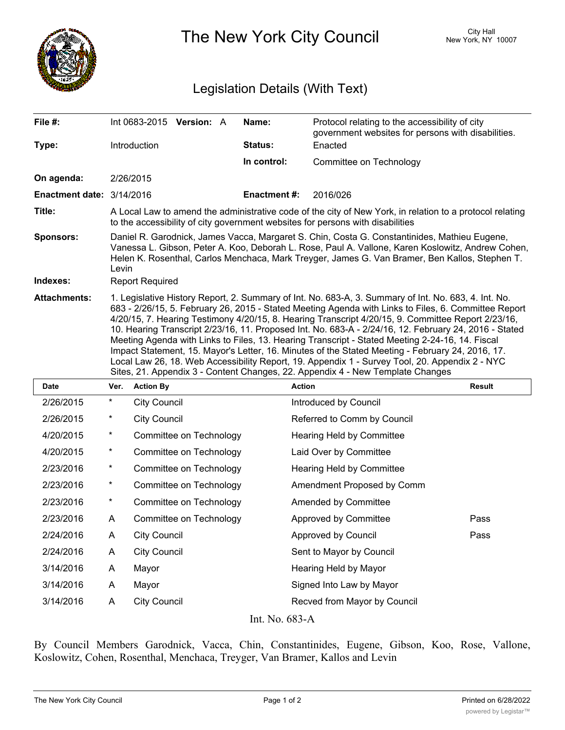

The New York City Council New York, NY 10007

## Legislation Details (With Text)

| File #:                                       | Int 0683-2015 Version: A                                                                                                                                                                                                                                                                                                                                                                                                                                                                                                                                                                                                                                                                                                                                                                                               | Name:               | Protocol relating to the accessibility of city<br>government websites for persons with disabilities. |  |  |  |
|-----------------------------------------------|------------------------------------------------------------------------------------------------------------------------------------------------------------------------------------------------------------------------------------------------------------------------------------------------------------------------------------------------------------------------------------------------------------------------------------------------------------------------------------------------------------------------------------------------------------------------------------------------------------------------------------------------------------------------------------------------------------------------------------------------------------------------------------------------------------------------|---------------------|------------------------------------------------------------------------------------------------------|--|--|--|
| Type:                                         | Introduction                                                                                                                                                                                                                                                                                                                                                                                                                                                                                                                                                                                                                                                                                                                                                                                                           | Status:             | Enacted                                                                                              |  |  |  |
|                                               |                                                                                                                                                                                                                                                                                                                                                                                                                                                                                                                                                                                                                                                                                                                                                                                                                        | In control:         | Committee on Technology                                                                              |  |  |  |
| On agenda:                                    | 2/26/2015                                                                                                                                                                                                                                                                                                                                                                                                                                                                                                                                                                                                                                                                                                                                                                                                              |                     |                                                                                                      |  |  |  |
| <b>Enactment date: <math>3/14/2016</math></b> |                                                                                                                                                                                                                                                                                                                                                                                                                                                                                                                                                                                                                                                                                                                                                                                                                        | <b>Enactment #:</b> | 2016/026                                                                                             |  |  |  |
| Title:                                        | A Local Law to amend the administrative code of the city of New York, in relation to a protocol relating<br>to the accessibility of city government websites for persons with disabilities                                                                                                                                                                                                                                                                                                                                                                                                                                                                                                                                                                                                                             |                     |                                                                                                      |  |  |  |
| <b>Sponsors:</b>                              | Daniel R. Garodnick, James Vacca, Margaret S. Chin, Costa G. Constantinides, Mathieu Eugene,<br>Vanessa L. Gibson, Peter A. Koo, Deborah L. Rose, Paul A. Vallone, Karen Koslowitz, Andrew Cohen,<br>Helen K. Rosenthal, Carlos Menchaca, Mark Treyger, James G. Van Bramer, Ben Kallos, Stephen T.<br>Levin                                                                                                                                                                                                                                                                                                                                                                                                                                                                                                           |                     |                                                                                                      |  |  |  |
| Indexes:                                      | <b>Report Required</b>                                                                                                                                                                                                                                                                                                                                                                                                                                                                                                                                                                                                                                                                                                                                                                                                 |                     |                                                                                                      |  |  |  |
| <b>Attachments:</b>                           | 1. Legislative History Report, 2. Summary of Int. No. 683-A, 3. Summary of Int. No. 683, 4. Int. No.<br>683 - 2/26/15, 5. February 26, 2015 - Stated Meeting Agenda with Links to Files, 6. Committee Report<br>4/20/15, 7. Hearing Testimony 4/20/15, 8. Hearing Transcript 4/20/15, 9. Committee Report 2/23/16,<br>10. Hearing Transcript 2/23/16, 11. Proposed Int. No. 683-A - 2/24/16, 12. February 24, 2016 - Stated<br>Meeting Agenda with Links to Files, 13. Hearing Transcript - Stated Meeting 2-24-16, 14. Fiscal<br>Impact Statement, 15. Mayor's Letter, 16. Minutes of the Stated Meeting - February 24, 2016, 17.<br>Local Law 26, 18. Web Accessibility Report, 19. Appendix 1 - Survey Tool, 20. Appendix 2 - NYC<br>Sites, 21. Appendix 3 - Content Changes, 22. Appendix 4 - New Template Changes |                     |                                                                                                      |  |  |  |

| Date           | Ver.     | <b>Action By</b>        | <b>Action</b>                | Result |  |
|----------------|----------|-------------------------|------------------------------|--------|--|
| 2/26/2015      | $^\star$ | <b>City Council</b>     | Introduced by Council        |        |  |
| 2/26/2015      | $\ast$   | <b>City Council</b>     | Referred to Comm by Council  |        |  |
| 4/20/2015      | $\ast$   | Committee on Technology | Hearing Held by Committee    |        |  |
| 4/20/2015      | $\star$  | Committee on Technology | Laid Over by Committee       |        |  |
| 2/23/2016      | $\ast$   | Committee on Technology | Hearing Held by Committee    |        |  |
| 2/23/2016      | $\star$  | Committee on Technology | Amendment Proposed by Comm   |        |  |
| 2/23/2016      | $\ast$   | Committee on Technology | Amended by Committee         |        |  |
| 2/23/2016      | A        | Committee on Technology | Approved by Committee        | Pass   |  |
| 2/24/2016      | A        | <b>City Council</b>     | Approved by Council          | Pass   |  |
| 2/24/2016      | A        | <b>City Council</b>     | Sent to Mayor by Council     |        |  |
| 3/14/2016      | A        | Mayor                   | Hearing Held by Mayor        |        |  |
| 3/14/2016      | A        | Mayor                   | Signed Into Law by Mayor     |        |  |
| 3/14/2016      | A        | <b>City Council</b>     | Recved from Mayor by Council |        |  |
| Int. No. 683-A |          |                         |                              |        |  |

By Council Members Garodnick, Vacca, Chin, Constantinides, Eugene, Gibson, Koo, Rose, Vallone, Koslowitz, Cohen, Rosenthal, Menchaca, Treyger, Van Bramer, Kallos and Levin